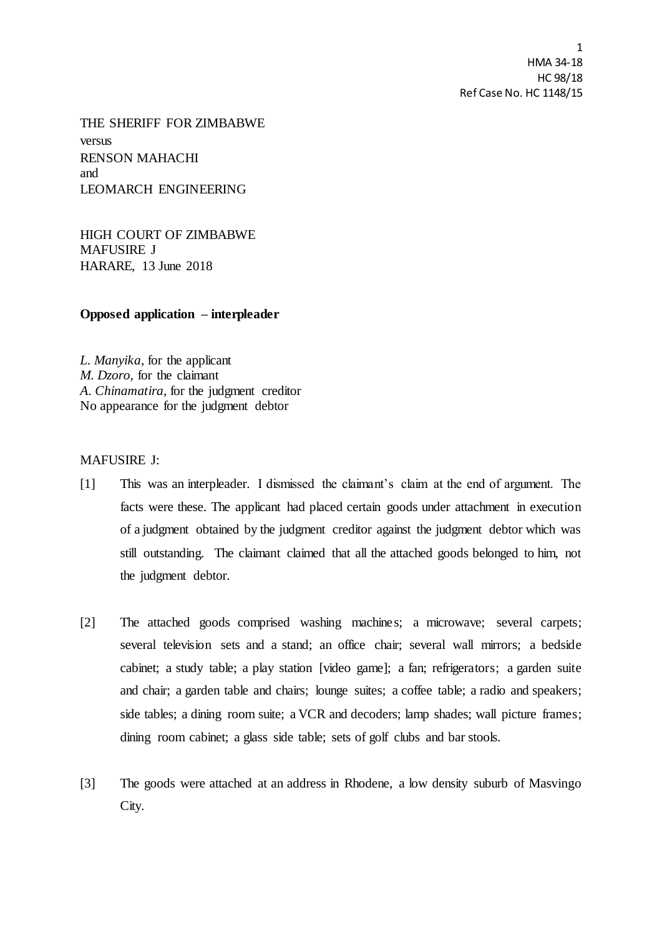1 HMA 34-18 HC 98/18 Ref Case No. HC 1148/15

THE SHERIFF FOR ZIMBABWE versus RENSON MAHACHI and LEOMARCH ENGINEERING

HIGH COURT OF ZIMBABWE MAFUSIRE J HARARE, 13 June 2018

**Opposed application – interpleader** 

*L. Manyika,* for the applicant *M. Dzoro,* for the claimant *A. Chinamatira*, for the judgment creditor No appearance for the judgment debtor

## MAFUSIRE J:

- [1] This was an interpleader. I dismissed the claimant's claim at the end of argument. The facts were these. The applicant had placed certain goods under attachment in execution of a judgment obtained by the judgment creditor against the judgment debtor which was still outstanding. The claimant claimed that all the attached goods belonged to him, not the judgment debtor.
- [2] The attached goods comprised washing machines; a microwave; several carpets; several television sets and a stand; an office chair; several wall mirrors; a bedside cabinet; a study table; a play station [video game]; a fan; refrigerators; a garden suite and chair; a garden table and chairs; lounge suites; a coffee table; a radio and speakers; side tables; a dining room suite; a VCR and decoders; lamp shades; wall picture frames; dining room cabinet; a glass side table; sets of golf clubs and bar stools.
- [3] The goods were attached at an address in Rhodene, a low density suburb of Masvingo City.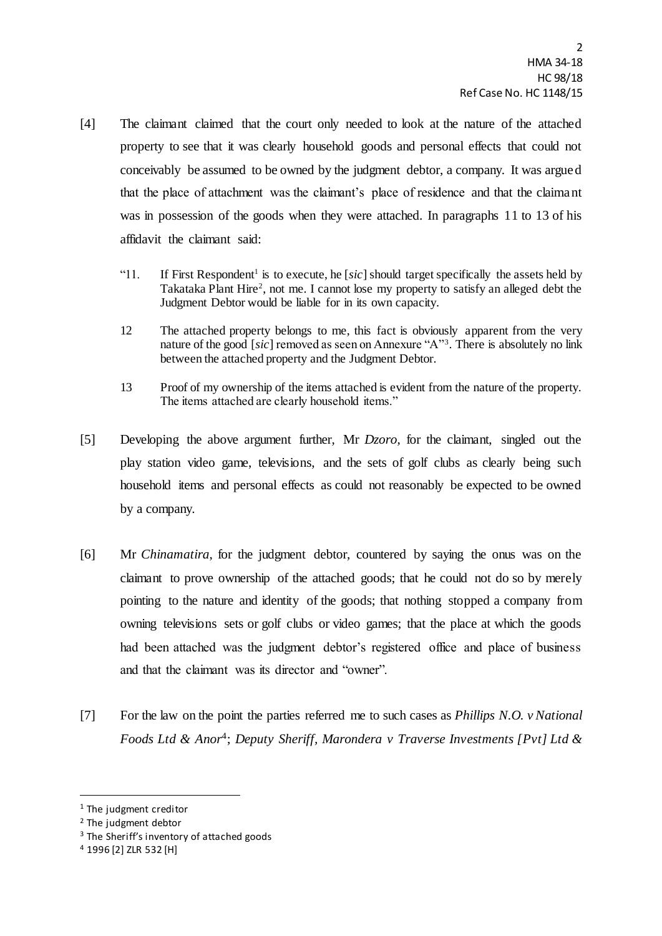- [4] The claimant claimed that the court only needed to look at the nature of the attached property to see that it was clearly household goods and personal effects that could not conceivably be assumed to be owned by the judgment debtor, a company. It was argued that the place of attachment was the claimant's place of residence and that the claimant was in possession of the goods when they were attached. In paragraphs 11 to 13 of his affidavit the claimant said:
	- "11. If First Respondent<sup>1</sup> is to execute, he [ $sic$ ] should target specifically the assets held by Takataka Plant Hire<sup>2</sup>, not me. I cannot lose my property to satisfy an alleged debt the Judgment Debtor would be liable for in its own capacity.
	- 12 The attached property belongs to me, this fact is obviously apparent from the very nature of the good [*sic*] removed as seen on Annexure "A"<sup>3</sup> . There is absolutely no link between the attached property and the Judgment Debtor.
	- 13 Proof of my ownership of the items attached is evident from the nature of the property. The items attached are clearly household items."
- [5] Developing the above argument further, Mr *Dzoro*, for the claimant, singled out the play station video game, televisions, and the sets of golf clubs as clearly being such household items and personal effects as could not reasonably be expected to be owned by a company.
- [6] Mr *Chinamatira*, for the judgment debtor, countered by saying the onus was on the claimant to prove ownership of the attached goods; that he could not do so by merely pointing to the nature and identity of the goods; that nothing stopped a company from owning televisions sets or golf clubs or video games; that the place at which the goods had been attached was the judgment debtor's registered office and place of business and that the claimant was its director and "owner".
- [7] For the law on the point the parties referred me to such cases as *Phillips N.O. v National Foods Ltd & Anor*<sup>4</sup> ; *Deputy Sheriff, Marondera v Traverse Investments [Pvt] Ltd &*

 $\overline{a}$ 

<sup>1</sup> The judgment creditor

<sup>2</sup> The judgment debtor

<sup>&</sup>lt;sup>3</sup> The Sheriff's inventory of attached goods

<sup>4</sup> 1996 [2] ZLR 532 [H]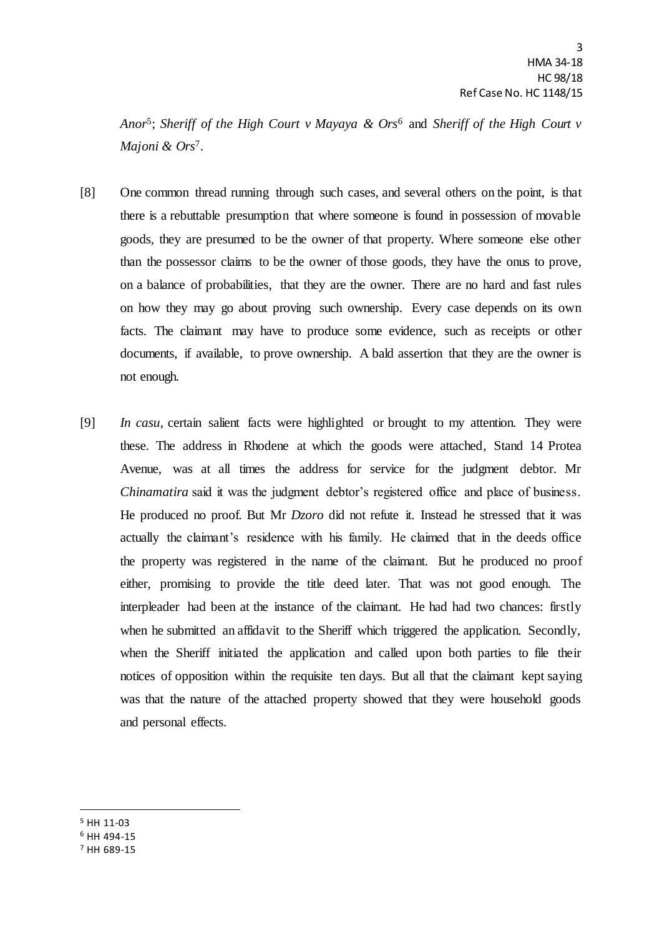*Anor*<sup>5</sup> ; *Sheriff of the High Court v Mayaya & Ors*<sup>6</sup> and *Sheriff of the High Court v Majoni & Ors*<sup>7</sup> .

- [8] One common thread running through such cases, and several others on the point, is that there is a rebuttable presumption that where someone is found in possession of movable goods, they are presumed to be the owner of that property. Where someone else other than the possessor claims to be the owner of those goods, they have the onus to prove, on a balance of probabilities, that they are the owner. There are no hard and fast rules on how they may go about proving such ownership. Every case depends on its own facts. The claimant may have to produce some evidence, such as receipts or other documents, if available, to prove ownership. A bald assertion that they are the owner is not enough.
- [9] *In casu*, certain salient facts were highlighted or brought to my attention. They were these. The address in Rhodene at which the goods were attached, Stand 14 Protea Avenue, was at all times the address for service for the judgment debtor. Mr *Chinamatira* said it was the judgment debtor's registered office and place of business. He produced no proof. But Mr *Dzoro* did not refute it. Instead he stressed that it was actually the claimant's residence with his family. He claimed that in the deeds office the property was registered in the name of the claimant. But he produced no proof either, promising to provide the title deed later. That was not good enough. The interpleader had been at the instance of the claimant. He had had two chances: firstly when he submitted an affidavit to the Sheriff which triggered the application. Secondly, when the Sheriff initiated the application and called upon both parties to file their notices of opposition within the requisite ten days. But all that the claimant kept saying was that the nature of the attached property showed that they were household goods and personal effects.
- <sup>5</sup> HH 11-03

 $\overline{a}$ 

- <sup>6</sup> HH 494-15
- <sup>7</sup> HH 689-15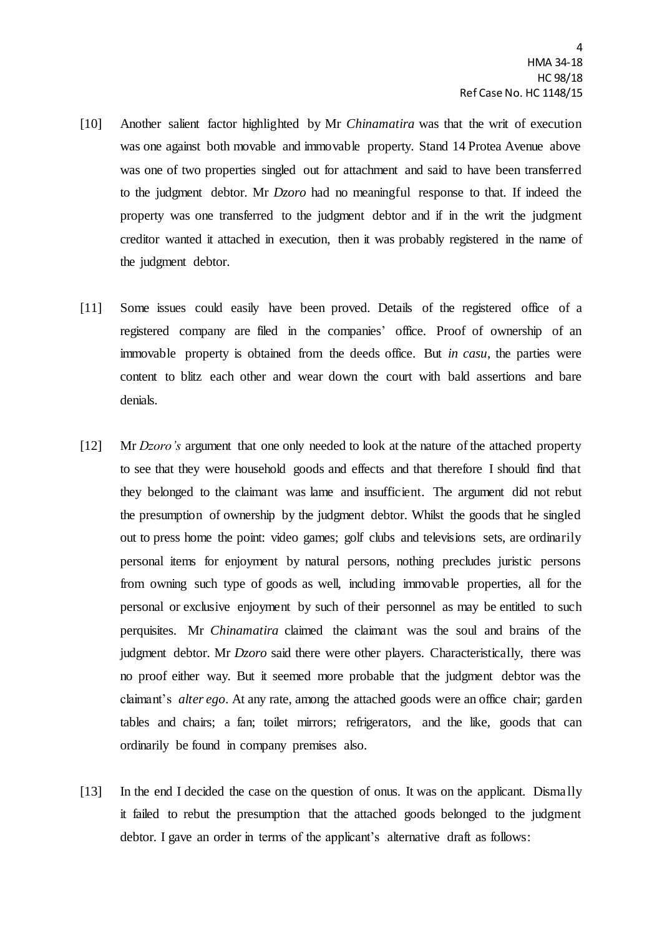- [10] Another salient factor highlighted by Mr *Chinamatira* was that the writ of execution was one against both movable and immovable property. Stand 14 Protea Avenue above was one of two properties singled out for attachment and said to have been transferred to the judgment debtor. Mr *Dzoro* had no meaningful response to that. If indeed the property was one transferred to the judgment debtor and if in the writ the judgment creditor wanted it attached in execution, then it was probably registered in the name of the judgment debtor.
- [11] Some issues could easily have been proved. Details of the registered office of a registered company are filed in the companies' office. Proof of ownership of an immovable property is obtained from the deeds office. But *in casu*, the parties were content to blitz each other and wear down the court with bald assertions and bare denials.
- [12] Mr *Dzoro's* argument that one only needed to look at the nature of the attached property to see that they were household goods and effects and that therefore I should find that they belonged to the claimant was lame and insufficient. The argument did not rebut the presumption of ownership by the judgment debtor. Whilst the goods that he singled out to press home the point: video games; golf clubs and televisions sets, are ordinarily personal items for enjoyment by natural persons, nothing precludes juristic persons from owning such type of goods as well, including immovable properties, all for the personal or exclusive enjoyment by such of their personnel as may be entitled to such perquisites. Mr *Chinamatira* claimed the claimant was the soul and brains of the judgment debtor. Mr *Dzoro* said there were other players. Characteristically, there was no proof either way. But it seemed more probable that the judgment debtor was the claimant's *alter ego*. At any rate, among the attached goods were an office chair; garden tables and chairs; a fan; toilet mirrors; refrigerators, and the like, goods that can ordinarily be found in company premises also.
- [13] In the end I decided the case on the question of onus. It was on the applicant. Dismally it failed to rebut the presumption that the attached goods belonged to the judgment debtor. I gave an order in terms of the applicant's alternative draft as follows: